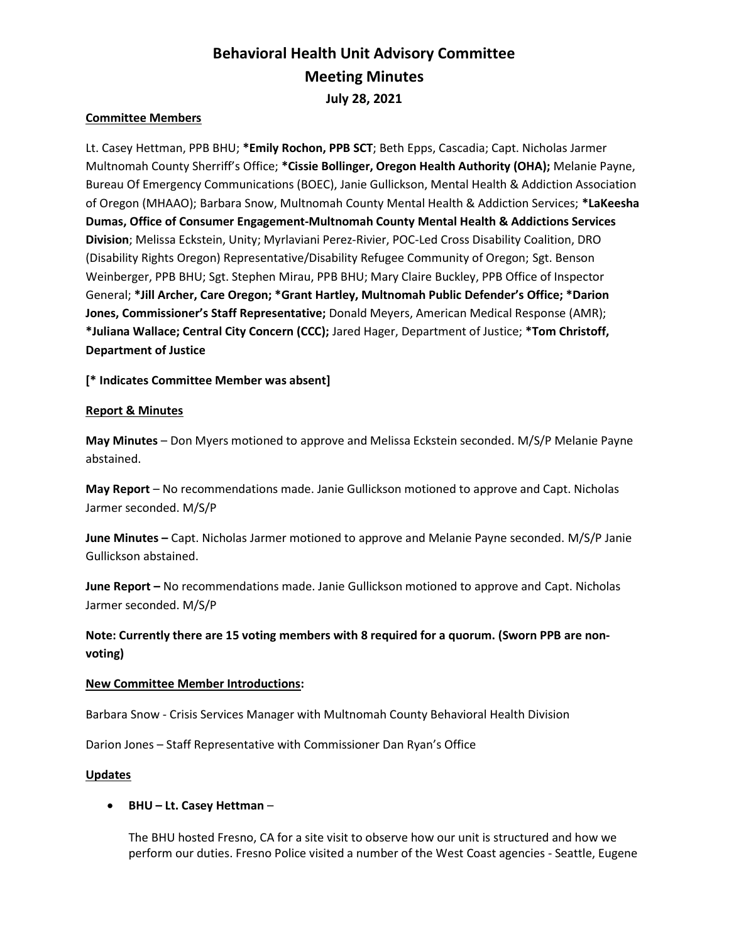# Behavioral Health Unit Advisory Committee Meeting Minutes July 28, 2021

## Committee Members

Lt. Casey Hettman, PPB BHU; \*Emily Rochon, PPB SCT; Beth Epps, Cascadia; Capt. Nicholas Jarmer Multnomah County Sherriff's Office; \*Cissie Bollinger, Oregon Health Authority (OHA); Melanie Payne, Bureau Of Emergency Communications (BOEC), Janie Gullickson, Mental Health & Addiction Association of Oregon (MHAAO); Barbara Snow, Multnomah County Mental Health & Addiction Services; \*LaKeesha Dumas, Office of Consumer Engagement-Multnomah County Mental Health & Addictions Services Division; Melissa Eckstein, Unity; Myrlaviani Perez-Rivier, POC-Led Cross Disability Coalition, DRO (Disability Rights Oregon) Representative/Disability Refugee Community of Oregon; Sgt. Benson Weinberger, PPB BHU; Sgt. Stephen Mirau, PPB BHU; Mary Claire Buckley, PPB Office of Inspector General; \*Jill Archer, Care Oregon; \*Grant Hartley, Multnomah Public Defender's Office; \*Darion Jones, Commissioner's Staff Representative; Donald Meyers, American Medical Response (AMR); \*Juliana Wallace; Central City Concern (CCC); Jared Hager, Department of Justice; \*Tom Christoff, Department of Justice

[\* Indicates Committee Member was absent]

### Report & Minutes

May Minutes – Don Myers motioned to approve and Melissa Eckstein seconded. M/S/P Melanie Payne abstained.

May Report – No recommendations made. Janie Gullickson motioned to approve and Capt. Nicholas Jarmer seconded. M/S/P

June Minutes – Capt. Nicholas Jarmer motioned to approve and Melanie Payne seconded. M/S/P Janie Gullickson abstained.

June Report – No recommendations made. Janie Gullickson motioned to approve and Capt. Nicholas Jarmer seconded. M/S/P

# Note: Currently there are 15 voting members with 8 required for a quorum. (Sworn PPB are nonvoting)

#### New Committee Member Introductions:

Barbara Snow - Crisis Services Manager with Multnomah County Behavioral Health Division

Darion Jones – Staff Representative with Commissioner Dan Ryan's Office

#### Updates

#### BHU – Lt. Casey Hettman –

The BHU hosted Fresno, CA for a site visit to observe how our unit is structured and how we perform our duties. Fresno Police visited a number of the West Coast agencies - Seattle, Eugene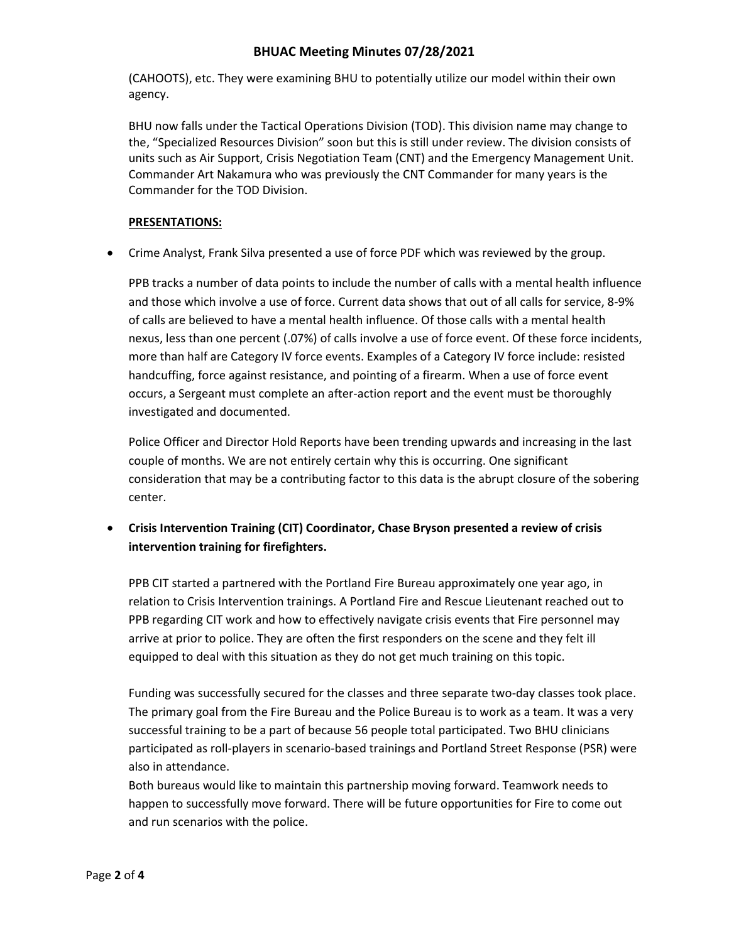# BHUAC Meeting Minutes 07/28/2021

(CAHOOTS), etc. They were examining BHU to potentially utilize our model within their own agency.

BHU now falls under the Tactical Operations Division (TOD). This division name may change to the, "Specialized Resources Division" soon but this is still under review. The division consists of units such as Air Support, Crisis Negotiation Team (CNT) and the Emergency Management Unit. Commander Art Nakamura who was previously the CNT Commander for many years is the Commander for the TOD Division.

## PRESENTATIONS:

Crime Analyst, Frank Silva presented a use of force PDF which was reviewed by the group.

PPB tracks a number of data points to include the number of calls with a mental health influence and those which involve a use of force. Current data shows that out of all calls for service, 8-9% of calls are believed to have a mental health influence. Of those calls with a mental health nexus, less than one percent (.07%) of calls involve a use of force event. Of these force incidents, more than half are Category IV force events. Examples of a Category IV force include: resisted handcuffing, force against resistance, and pointing of a firearm. When a use of force event occurs, a Sergeant must complete an after-action report and the event must be thoroughly investigated and documented.

Police Officer and Director Hold Reports have been trending upwards and increasing in the last couple of months. We are not entirely certain why this is occurring. One significant consideration that may be a contributing factor to this data is the abrupt closure of the sobering center.

 Crisis Intervention Training (CIT) Coordinator, Chase Bryson presented a review of crisis intervention training for firefighters.

PPB CIT started a partnered with the Portland Fire Bureau approximately one year ago, in relation to Crisis Intervention trainings. A Portland Fire and Rescue Lieutenant reached out to PPB regarding CIT work and how to effectively navigate crisis events that Fire personnel may arrive at prior to police. They are often the first responders on the scene and they felt ill equipped to deal with this situation as they do not get much training on this topic.

Funding was successfully secured for the classes and three separate two-day classes took place. The primary goal from the Fire Bureau and the Police Bureau is to work as a team. It was a very successful training to be a part of because 56 people total participated. Two BHU clinicians participated as roll-players in scenario-based trainings and Portland Street Response (PSR) were also in attendance.

Both bureaus would like to maintain this partnership moving forward. Teamwork needs to happen to successfully move forward. There will be future opportunities for Fire to come out and run scenarios with the police.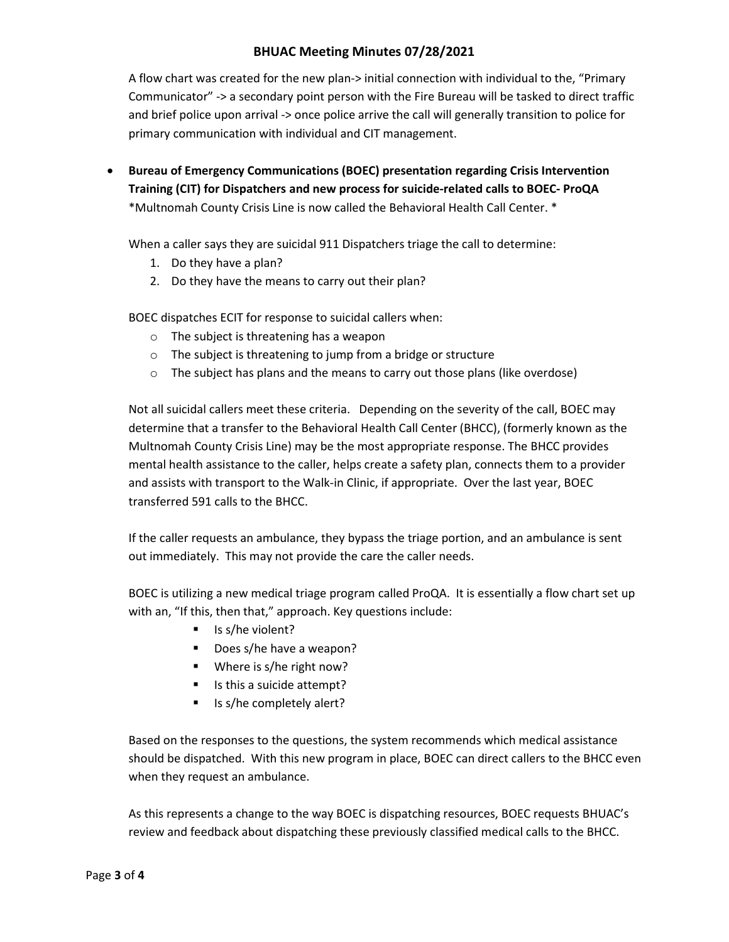# BHUAC Meeting Minutes 07/28/2021

A flow chart was created for the new plan-> initial connection with individual to the, "Primary Communicator" -> a secondary point person with the Fire Bureau will be tasked to direct traffic and brief police upon arrival -> once police arrive the call will generally transition to police for primary communication with individual and CIT management.

 Bureau of Emergency Communications (BOEC) presentation regarding Crisis Intervention Training (CIT) for Dispatchers and new process for suicide-related calls to BOEC- ProQA \*Multnomah County Crisis Line is now called the Behavioral Health Call Center. \*

When a caller says they are suicidal 911 Dispatchers triage the call to determine:

- 1. Do they have a plan?
- 2. Do they have the means to carry out their plan?

BOEC dispatches ECIT for response to suicidal callers when:

- o The subject is threatening has a weapon
- o The subject is threatening to jump from a bridge or structure
- o The subject has plans and the means to carry out those plans (like overdose)

Not all suicidal callers meet these criteria. Depending on the severity of the call, BOEC may determine that a transfer to the Behavioral Health Call Center (BHCC), (formerly known as the Multnomah County Crisis Line) may be the most appropriate response. The BHCC provides mental health assistance to the caller, helps create a safety plan, connects them to a provider and assists with transport to the Walk-in Clinic, if appropriate. Over the last year, BOEC transferred 591 calls to the BHCC.

If the caller requests an ambulance, they bypass the triage portion, and an ambulance is sent out immediately. This may not provide the care the caller needs.

BOEC is utilizing a new medical triage program called ProQA. It is essentially a flow chart set up with an, "If this, then that," approach. Key questions include:

- $\blacksquare$  Is s/he violent?
- Does s/he have a weapon?
- Where is s/he right now?
- Is this a suicide attempt?
- Is s/he completely alert?

Based on the responses to the questions, the system recommends which medical assistance should be dispatched. With this new program in place, BOEC can direct callers to the BHCC even when they request an ambulance.

As this represents a change to the way BOEC is dispatching resources, BOEC requests BHUAC's review and feedback about dispatching these previously classified medical calls to the BHCC.